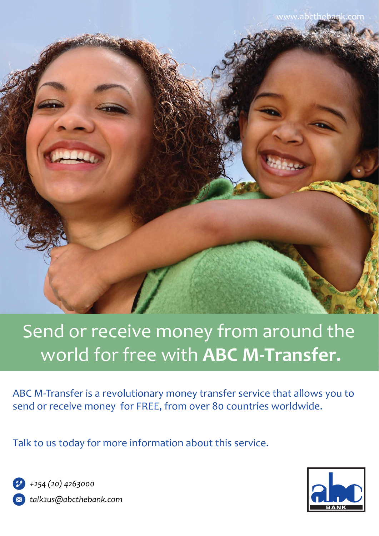

# Send or receive money from around the world for free with **ABC M-Transfer.**

ABC M-Transfer is a revolutionary money transfer service that allows you to send or receive money for FREE, from over 80 countries worldwide.

Talk to us today for more information about this service.